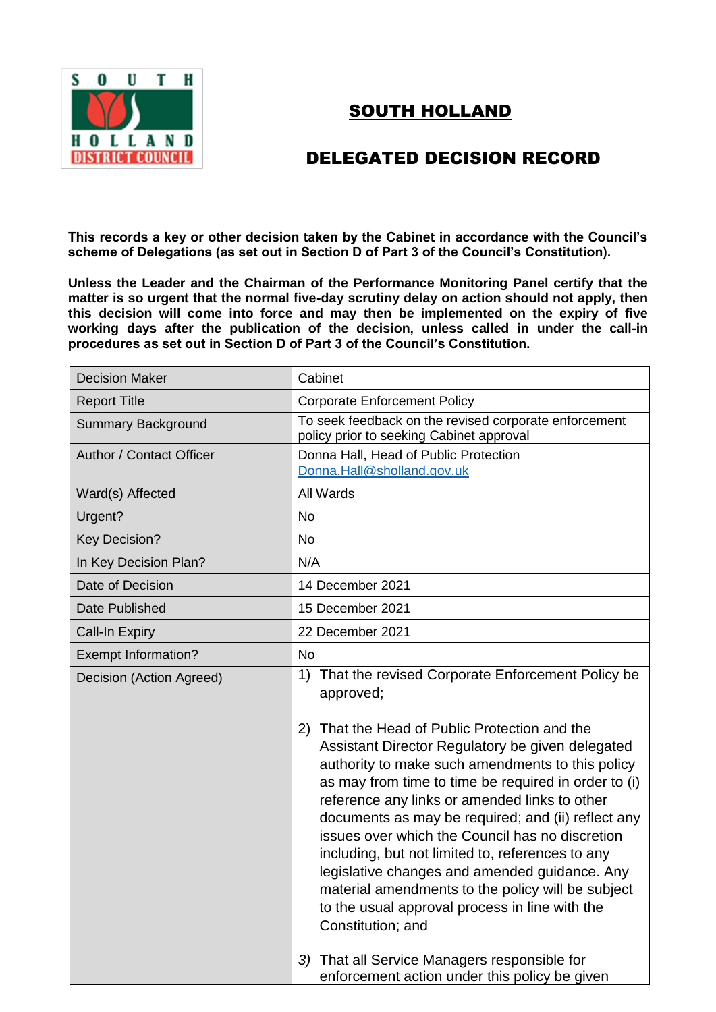

## SOUTH HOLLAND

## DELEGATED DECISION RECORD

**This records a key or other decision taken by the Cabinet in accordance with the Council's scheme of Delegations (as set out in Section D of Part 3 of the Council's Constitution).**

**Unless the Leader and the Chairman of the Performance Monitoring Panel certify that the matter is so urgent that the normal five-day scrutiny delay on action should not apply, then this decision will come into force and may then be implemented on the expiry of five working days after the publication of the decision, unless called in under the call-in procedures as set out in Section D of Part 3 of the Council's Constitution.**

| <b>Decision Maker</b>      | Cabinet                                                                                                                                                                                                                                                                                                                                                                                                                                                                                                                                                                                                  |
|----------------------------|----------------------------------------------------------------------------------------------------------------------------------------------------------------------------------------------------------------------------------------------------------------------------------------------------------------------------------------------------------------------------------------------------------------------------------------------------------------------------------------------------------------------------------------------------------------------------------------------------------|
| <b>Report Title</b>        | <b>Corporate Enforcement Policy</b>                                                                                                                                                                                                                                                                                                                                                                                                                                                                                                                                                                      |
| <b>Summary Background</b>  | To seek feedback on the revised corporate enforcement<br>policy prior to seeking Cabinet approval                                                                                                                                                                                                                                                                                                                                                                                                                                                                                                        |
| Author / Contact Officer   | Donna Hall, Head of Public Protection<br>Donna.Hall@sholland.gov.uk                                                                                                                                                                                                                                                                                                                                                                                                                                                                                                                                      |
| Ward(s) Affected           | All Wards                                                                                                                                                                                                                                                                                                                                                                                                                                                                                                                                                                                                |
| Urgent?                    | <b>No</b>                                                                                                                                                                                                                                                                                                                                                                                                                                                                                                                                                                                                |
| <b>Key Decision?</b>       | <b>No</b>                                                                                                                                                                                                                                                                                                                                                                                                                                                                                                                                                                                                |
| In Key Decision Plan?      | N/A                                                                                                                                                                                                                                                                                                                                                                                                                                                                                                                                                                                                      |
| Date of Decision           | 14 December 2021                                                                                                                                                                                                                                                                                                                                                                                                                                                                                                                                                                                         |
| Date Published             | 15 December 2021                                                                                                                                                                                                                                                                                                                                                                                                                                                                                                                                                                                         |
| <b>Call-In Expiry</b>      | 22 December 2021                                                                                                                                                                                                                                                                                                                                                                                                                                                                                                                                                                                         |
| <b>Exempt Information?</b> | <b>No</b>                                                                                                                                                                                                                                                                                                                                                                                                                                                                                                                                                                                                |
| Decision (Action Agreed)   | That the revised Corporate Enforcement Policy be<br>1)<br>approved;                                                                                                                                                                                                                                                                                                                                                                                                                                                                                                                                      |
|                            | 2) That the Head of Public Protection and the<br>Assistant Director Regulatory be given delegated<br>authority to make such amendments to this policy<br>as may from time to time be required in order to (i)<br>reference any links or amended links to other<br>documents as may be required; and (ii) reflect any<br>issues over which the Council has no discretion<br>including, but not limited to, references to any<br>legislative changes and amended guidance. Any<br>material amendments to the policy will be subject<br>to the usual approval process in line with the<br>Constitution; and |
|                            | 3) That all Service Managers responsible for<br>enforcement action under this policy be given                                                                                                                                                                                                                                                                                                                                                                                                                                                                                                            |